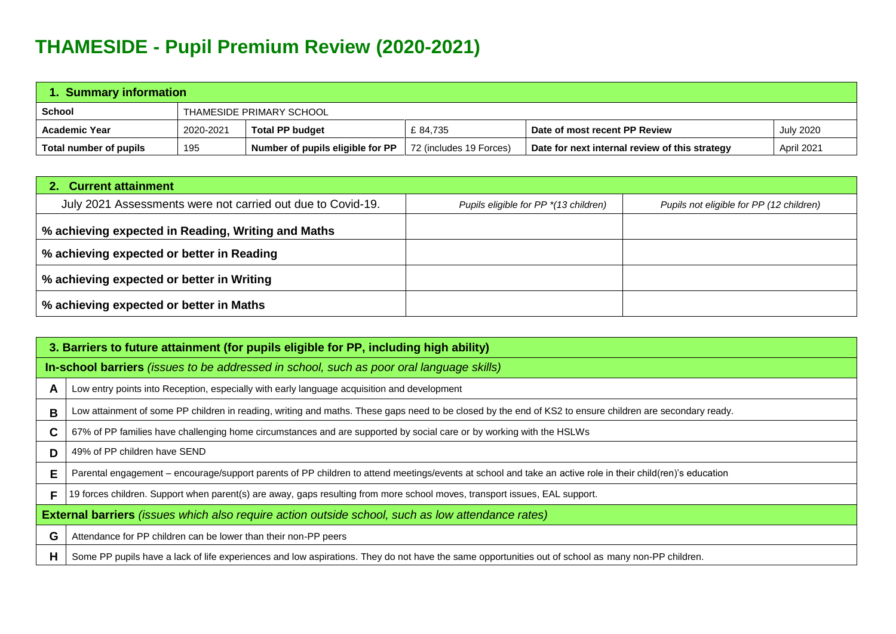## **THAMESIDE - Pupil Premium Review (2020-2021)**

| <b>Summary information</b>    |                          |                                  |                         |                                                |                  |  |  |
|-------------------------------|--------------------------|----------------------------------|-------------------------|------------------------------------------------|------------------|--|--|
| School                        | THAMESIDE PRIMARY SCHOOL |                                  |                         |                                                |                  |  |  |
| Academic Year                 | 2020-2021                | <b>Total PP budget</b>           | £84.735                 | Date of most recent PP Review                  | <b>July 2020</b> |  |  |
| <b>Total number of pupils</b> | 195                      | Number of pupils eligible for PP | 72 (includes 19 Forces) | Date for next internal review of this strategy |                  |  |  |

| 2. Current attainment                                       |                                       |                                          |  |  |  |
|-------------------------------------------------------------|---------------------------------------|------------------------------------------|--|--|--|
| July 2021 Assessments were not carried out due to Covid-19. | Pupils eligible for PP *(13 children) | Pupils not eligible for PP (12 children) |  |  |  |
| % achieving expected in Reading, Writing and Maths          |                                       |                                          |  |  |  |
| % achieving expected or better in Reading                   |                                       |                                          |  |  |  |
| │ % achieving expected or better in Writing                 |                                       |                                          |  |  |  |
| │ % achieving expected or better in Maths                   |                                       |                                          |  |  |  |

|                                                                                                   | 3. Barriers to future attainment (for pupils eligible for PP, including high ability)                                                                      |  |  |  |  |
|---------------------------------------------------------------------------------------------------|------------------------------------------------------------------------------------------------------------------------------------------------------------|--|--|--|--|
|                                                                                                   | In-school barriers <i>(issues to be addressed in school, such as poor oral language skills)</i>                                                            |  |  |  |  |
| A                                                                                                 | Low entry points into Reception, especially with early language acquisition and development                                                                |  |  |  |  |
| B                                                                                                 | Low attainment of some PP children in reading, writing and maths. These gaps need to be closed by the end of KS2 to ensure children are secondary ready.   |  |  |  |  |
| C.                                                                                                | 67% of PP families have challenging home circumstances and are supported by social care or by working with the HSLWs                                       |  |  |  |  |
| D                                                                                                 | 49% of PP children have SEND                                                                                                                               |  |  |  |  |
| Е                                                                                                 | Parental engagement – encourage/support parents of PP children to attend meetings/events at school and take an active role in their child(ren)'s education |  |  |  |  |
| F                                                                                                 | 19 forces children. Support when parent(s) are away, gaps resulting from more school moves, transport issues, EAL support.                                 |  |  |  |  |
| External barriers (issues which also require action outside school, such as low attendance rates) |                                                                                                                                                            |  |  |  |  |
| G                                                                                                 | Attendance for PP children can be lower than their non-PP peers                                                                                            |  |  |  |  |
| H                                                                                                 | Some PP pupils have a lack of life experiences and low aspirations. They do not have the same opportunities out of school as many non-PP children.         |  |  |  |  |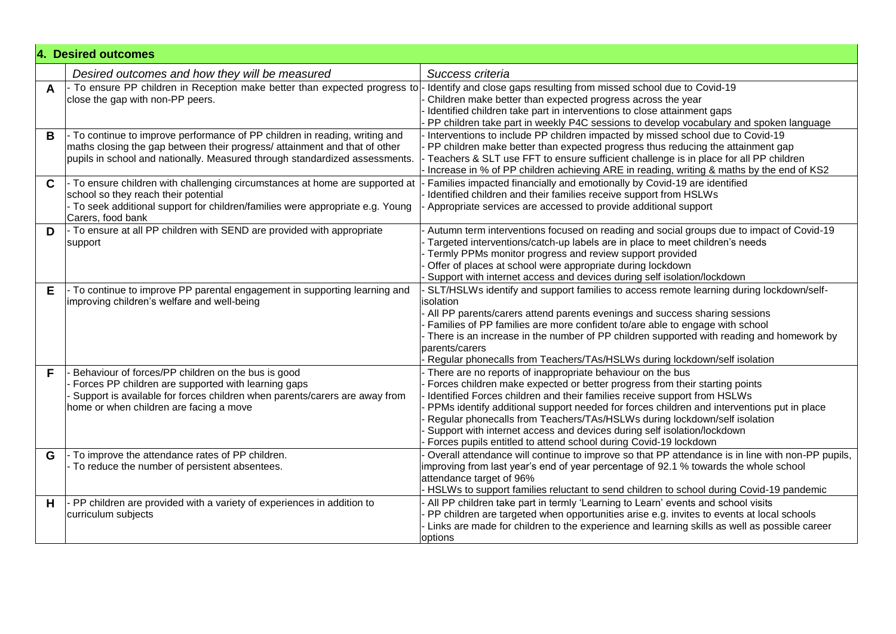|   | 4. Desired outcomes                                                                                                                                                                                                                      |                                                                                                                                                                                                                                                                                                                                                                                                                                                                                                                                                   |  |  |  |  |
|---|------------------------------------------------------------------------------------------------------------------------------------------------------------------------------------------------------------------------------------------|---------------------------------------------------------------------------------------------------------------------------------------------------------------------------------------------------------------------------------------------------------------------------------------------------------------------------------------------------------------------------------------------------------------------------------------------------------------------------------------------------------------------------------------------------|--|--|--|--|
|   | Desired outcomes and how they will be measured                                                                                                                                                                                           | Success criteria                                                                                                                                                                                                                                                                                                                                                                                                                                                                                                                                  |  |  |  |  |
| A | - To ensure PP children in Reception make better than expected progress to<br>close the gap with non-PP peers.                                                                                                                           | Identify and close gaps resulting from missed school due to Covid-19<br>Children make better than expected progress across the year<br>Identified children take part in interventions to close attainment gaps<br>PP children take part in weekly P4C sessions to develop vocabulary and spoken language                                                                                                                                                                                                                                          |  |  |  |  |
| B | - To continue to improve performance of PP children in reading, writing and<br>maths closing the gap between their progress/ attainment and that of other<br>pupils in school and nationally. Measured through standardized assessments. | Interventions to include PP children impacted by missed school due to Covid-19<br>PP children make better than expected progress thus reducing the attainment gap<br>Teachers & SLT use FFT to ensure sufficient challenge is in place for all PP children<br>Increase in % of PP children achieving ARE in reading, writing & maths by the end of KS2                                                                                                                                                                                            |  |  |  |  |
| C | - To ensure children with challenging circumstances at home are supported at<br>school so they reach their potential<br>- To seek additional support for children/families were appropriate e.g. Young<br>Carers, food bank              | Families impacted financially and emotionally by Covid-19 are identified<br>Identified children and their families receive support from HSLWs<br>Appropriate services are accessed to provide additional support                                                                                                                                                                                                                                                                                                                                  |  |  |  |  |
| D | - To ensure at all PP children with SEND are provided with appropriate<br>support                                                                                                                                                        | Autumn term interventions focused on reading and social groups due to impact of Covid-19<br>Targeted interventions/catch-up labels are in place to meet children's needs<br>- Termly PPMs monitor progress and review support provided<br>Offer of places at school were appropriate during lockdown<br>Support with internet access and devices during self isolation/lockdown                                                                                                                                                                   |  |  |  |  |
| Е | To continue to improve PP parental engagement in supporting learning and<br>improving children's welfare and well-being                                                                                                                  | SLT/HSLWs identify and support families to access remote learning during lockdown/self-<br>isolation<br>- All PP parents/carers attend parents evenings and success sharing sessions<br>Families of PP families are more confident to/are able to engage with school<br>- There is an increase in the number of PP children supported with reading and homework by<br>parents/carers<br>Regular phonecalls from Teachers/TAs/HSLWs during lockdown/self isolation                                                                                 |  |  |  |  |
| F | Behaviour of forces/PP children on the bus is good<br>Forces PP children are supported with learning gaps<br>Support is available for forces children when parents/carers are away from<br>home or when children are facing a move       | - There are no reports of inappropriate behaviour on the bus<br>Forces children make expected or better progress from their starting points<br>Identified Forces children and their families receive support from HSLWs<br>PPMs identify additional support needed for forces children and interventions put in place<br>Regular phonecalls from Teachers/TAs/HSLWs during lockdown/self isolation<br>Support with internet access and devices during self isolation/lockdown<br>Forces pupils entitled to attend school during Covid-19 lockdown |  |  |  |  |
| G | To improve the attendance rates of PP children.<br>To reduce the number of persistent absentees.                                                                                                                                         | Overall attendance will continue to improve so that PP attendance is in line with non-PP pupils,<br>improving from last year's end of year percentage of 92.1 % towards the whole school<br>attendance target of 96%<br>- HSLWs to support families reluctant to send children to school during Covid-19 pandemic                                                                                                                                                                                                                                 |  |  |  |  |
| H | PP children are provided with a variety of experiences in addition to<br>curriculum subjects                                                                                                                                             | - All PP children take part in termly 'Learning to Learn' events and school visits<br>PP children are targeted when opportunities arise e.g. invites to events at local schools<br>- Links are made for children to the experience and learning skills as well as possible career<br>options                                                                                                                                                                                                                                                      |  |  |  |  |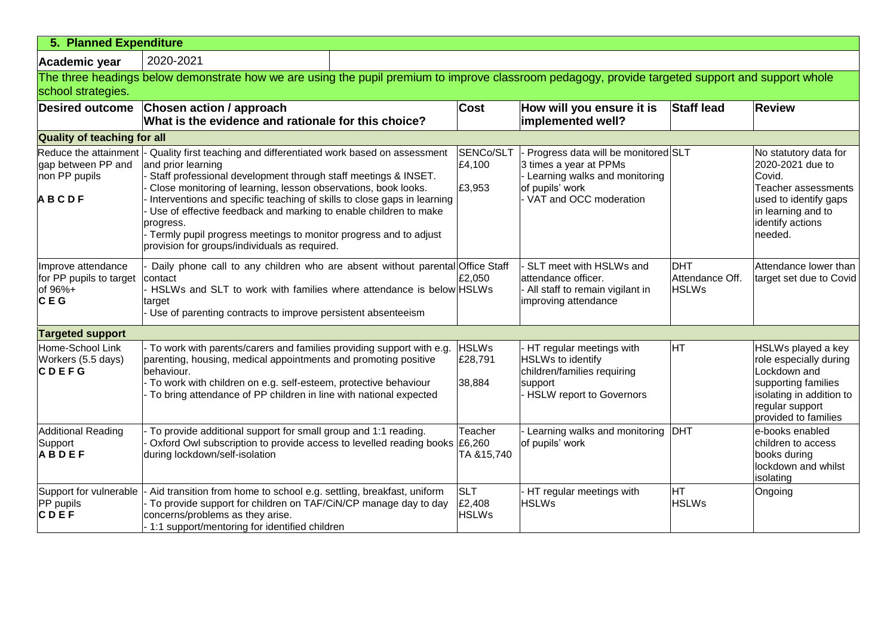| 5. Planned Expenditure                                                       |                                                                                                                                                                                                                                                                                                                                                                                                                                                                                                               |  |                                      |                                                                                                                                               |                                               |                                                                                                                                                            |  |
|------------------------------------------------------------------------------|---------------------------------------------------------------------------------------------------------------------------------------------------------------------------------------------------------------------------------------------------------------------------------------------------------------------------------------------------------------------------------------------------------------------------------------------------------------------------------------------------------------|--|--------------------------------------|-----------------------------------------------------------------------------------------------------------------------------------------------|-----------------------------------------------|------------------------------------------------------------------------------------------------------------------------------------------------------------|--|
| Academic year                                                                | 2020-2021                                                                                                                                                                                                                                                                                                                                                                                                                                                                                                     |  |                                      |                                                                                                                                               |                                               |                                                                                                                                                            |  |
| school strategies.                                                           | The three headings below demonstrate how we are using the pupil premium to improve classroom pedagogy, provide targeted support and support whole                                                                                                                                                                                                                                                                                                                                                             |  |                                      |                                                                                                                                               |                                               |                                                                                                                                                            |  |
| <b>Desired outcome</b>                                                       | Chosen action / approach<br>What is the evidence and rationale for this choice?                                                                                                                                                                                                                                                                                                                                                                                                                               |  | <b>Cost</b>                          | How will you ensure it is<br>implemented well?                                                                                                | <b>Staff lead</b>                             | <b>Review</b>                                                                                                                                              |  |
| <b>Quality of teaching for all</b>                                           |                                                                                                                                                                                                                                                                                                                                                                                                                                                                                                               |  |                                      |                                                                                                                                               |                                               |                                                                                                                                                            |  |
| Reduce the attainment<br>gap between PP and<br>non PP pupils<br><b>ABCDF</b> | Quality first teaching and differentiated work based on assessment<br>and prior learning<br>Staff professional development through staff meetings & INSET.<br>Close monitoring of learning, lesson observations, book looks.<br>Interventions and specific teaching of skills to close gaps in learning<br>Use of effective feedback and marking to enable children to make<br>progress.<br>Termly pupil progress meetings to monitor progress and to adjust<br>provision for groups/individuals as required. |  | SENCo/SLT<br>£4,100<br>£3,953        | Progress data will be monitored SLT<br>3 times a year at PPMs<br>Learning walks and monitoring<br>of pupils' work<br>- VAT and OCC moderation |                                               | No statutory data for<br>2020-2021 due to<br>Covid.<br>Teacher assessments<br>used to identify gaps<br>in learning and to<br>identify actions<br>needed.   |  |
| Improve attendance<br>for PP pupils to target<br>of 96%+<br>CEG              | Daily phone call to any children who are absent without parental Office Staff<br>contact<br>HSLWs and SLT to work with families where attendance is below HSLWs<br>target<br>Use of parenting contracts to improve persistent absenteeism                                                                                                                                                                                                                                                                     |  | £2,050                               | SLT meet with HSLWs and<br>attendance officer.<br>All staff to remain vigilant in<br>improving attendance                                     | <b>DHT</b><br>Attendance Off.<br><b>HSLWs</b> | Attendance lower than<br>target set due to Covid                                                                                                           |  |
| <b>Targeted support</b>                                                      |                                                                                                                                                                                                                                                                                                                                                                                                                                                                                                               |  |                                      |                                                                                                                                               |                                               |                                                                                                                                                            |  |
| Home-School Link<br>Workers (5.5 days)<br><b>CDEFG</b>                       | To work with parents/carers and families providing support with e.g.<br>parenting, housing, medical appointments and promoting positive<br>behaviour.<br>- To work with children on e.g. self-esteem, protective behaviour<br>To bring attendance of PP children in line with national expected                                                                                                                                                                                                               |  | <b>HSLWs</b><br>£28,791<br>38,884    | HT regular meetings with<br>HSLWs to identify<br>children/families requiring<br>support<br>- HSLW report to Governors                         | Iнт                                           | HSLWs played a key<br>role especially during<br>Lockdown and<br>supporting families<br>isolating in addition to<br>regular support<br>provided to families |  |
| <b>Additional Reading</b><br>Support<br><b>ABDEF</b>                         | To provide additional support for small group and 1:1 reading.<br>Oxford Owl subscription to provide access to levelled reading books £6,260<br>during lockdown/self-isolation                                                                                                                                                                                                                                                                                                                                |  | Teacher<br>TA &15,740                | Learning walks and monitoring<br>of pupils' work                                                                                              | <b>DHT</b>                                    | e-books enabled<br>children to access<br>books during<br>lockdown and whilst<br>isolating                                                                  |  |
| Support for vulnerable<br>PP pupils<br>CDEF                                  | - Aid transition from home to school e.g. settling, breakfast, uniform<br>To provide support for children on TAF/CiN/CP manage day to day<br>concerns/problems as they arise.<br>- 1:1 support/mentoring for identified children                                                                                                                                                                                                                                                                              |  | <b>SLT</b><br>£2,408<br><b>HSLWs</b> | HT regular meetings with<br><b>HSLWs</b>                                                                                                      | <b>HT</b><br><b>HSLWs</b>                     | Ongoing                                                                                                                                                    |  |